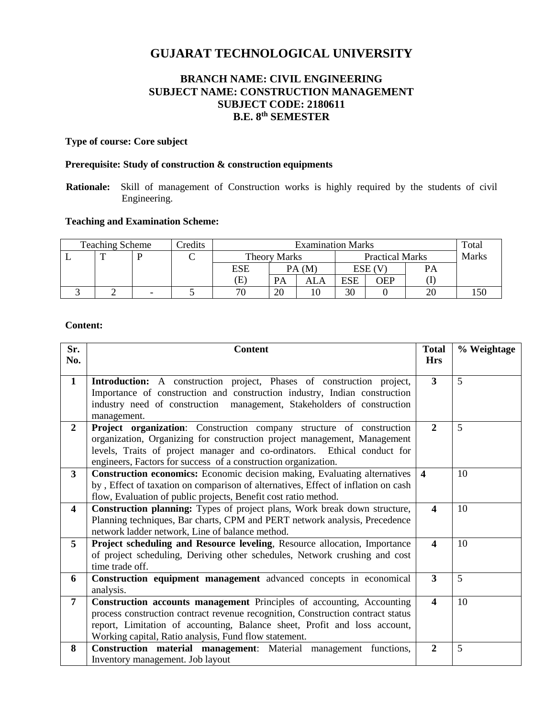# **GUJARAT TECHNOLOGICAL UNIVERSITY**

# **BRANCH NAME: CIVIL ENGINEERING SUBJECT NAME: CONSTRUCTION MANAGEMENT SUBJECT CODE: 2180611 B.E. 8 th SEMESTER**

## **Type of course: Core subject**

#### **Prerequisite: Study of construction & construction equipments**

**Rationale:** Skill of management of Construction works is highly required by the students of civil Engineering.

## **Teaching and Examination Scheme:**

| <b>Teaching Scheme</b> |          | Credits | <b>Examination Marks</b> |                            |           |                        |        | Total |       |  |
|------------------------|----------|---------|--------------------------|----------------------------|-----------|------------------------|--------|-------|-------|--|
|                        | <b>m</b> |         | ◡                        | <b>Theory Marks</b>        |           | <b>Practical Marks</b> |        |       | Marks |  |
|                        |          |         |                          | ESE                        | PA(M)     |                        | ESE (V |       | PA    |  |
|                        |          |         |                          | $\left( \mathrm{E}\right)$ | <b>PA</b> | ALA                    | ESE    | OEP   |       |  |
|                        |          | -       |                          | 70                         | 20        | 10                     | 30     |       |       |  |

#### **Content:**

| Sr.<br>No.              | <b>Content</b>                                                                                                                                                                                                                                                                                 | <b>Total</b><br><b>Hrs</b> | % Weightage |
|-------------------------|------------------------------------------------------------------------------------------------------------------------------------------------------------------------------------------------------------------------------------------------------------------------------------------------|----------------------------|-------------|
| $\mathbf{1}$            | Introduction: A construction project, Phases of construction project,<br>Importance of construction and construction industry, Indian construction<br>industry need of construction management, Stakeholders of construction<br>management.                                                    | 3                          | 5           |
| $\overline{2}$          | Project organization: Construction company structure of construction<br>organization, Organizing for construction project management, Management<br>levels, Traits of project manager and co-ordinators. Ethical conduct for<br>engineers, Factors for success of a construction organization. | $\overline{2}$             | 5           |
| 3 <sup>1</sup>          | <b>Construction economics:</b> Economic decision making, Evaluating alternatives<br>by, Effect of taxation on comparison of alternatives, Effect of inflation on cash<br>flow, Evaluation of public projects, Benefit cost ratio method.                                                       | $\overline{\mathbf{4}}$    | 10          |
| $\overline{\mathbf{4}}$ | Construction planning: Types of project plans, Work break down structure,<br>Planning techniques, Bar charts, CPM and PERT network analysis, Precedence<br>network ladder network, Line of balance method.                                                                                     | $\boldsymbol{4}$           | 10          |
| 5                       | Project scheduling and Resource leveling, Resource allocation, Importance<br>of project scheduling, Deriving other schedules, Network crushing and cost<br>time trade off.                                                                                                                     | $\boldsymbol{4}$           | 10          |
| 6                       | Construction equipment management advanced concepts in economical<br>analysis.                                                                                                                                                                                                                 | 3                          | 5           |
| $\overline{7}$          | Construction accounts management Principles of accounting, Accounting<br>process construction contract revenue recognition, Construction contract status<br>report, Limitation of accounting, Balance sheet, Profit and loss account,<br>Working capital, Ratio analysis, Fund flow statement. | $\overline{\mathbf{4}}$    | 10          |
| 8                       | Construction material management: Material management functions,<br>Inventory management. Job layout                                                                                                                                                                                           | $\overline{2}$             | 5           |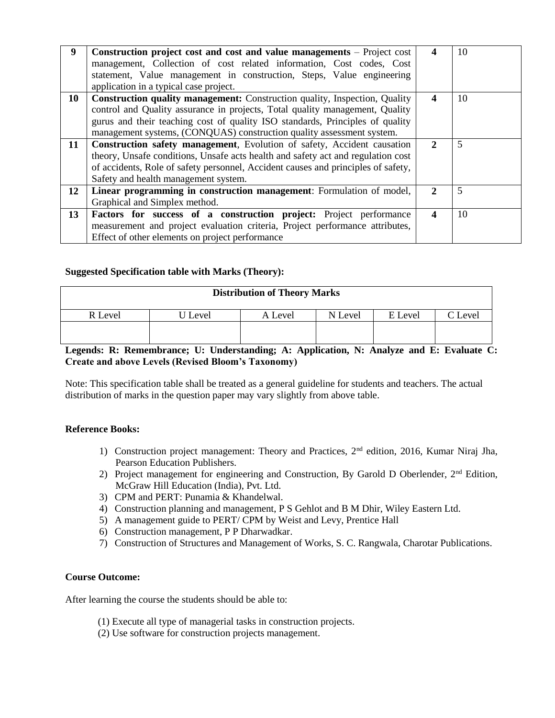| 9  | Construction project cost and cost and value managements – Project cost<br>management, Collection of cost related information, Cost codes, Cost<br>statement, Value management in construction, Steps, Value engineering<br>application in a typical case project.                                                          | 4            | 10 |
|----|-----------------------------------------------------------------------------------------------------------------------------------------------------------------------------------------------------------------------------------------------------------------------------------------------------------------------------|--------------|----|
| 10 | <b>Construction quality management:</b> Construction quality, Inspection, Quality<br>control and Quality assurance in projects, Total quality management, Quality<br>gurus and their teaching cost of quality ISO standards, Principles of quality<br>management systems, (CONQUAS) construction quality assessment system. | 4            | 10 |
| 11 | <b>Construction safety management</b> , Evolution of safety, Accident causation<br>theory, Unsafe conditions, Unsafe acts health and safety act and regulation cost<br>of accidents, Role of safety personnel, Accident causes and principles of safety,<br>Safety and health management system.                            | $\mathbf{2}$ | 5  |
| 12 | Linear programming in construction management: Formulation of model,<br>Graphical and Simplex method.                                                                                                                                                                                                                       | $\mathbf{2}$ | 5  |
| 13 | <b>Factors for success of a construction project:</b> Project performance<br>measurement and project evaluation criteria, Project performance attributes,<br>Effect of other elements on project performance                                                                                                                | 4            | 10 |

## **Suggested Specification table with Marks (Theory):**

| <b>Distribution of Theory Marks</b> |         |         |         |         |         |  |  |
|-------------------------------------|---------|---------|---------|---------|---------|--|--|
| R Level                             | J Level | A Level | N Level | E Level | C Level |  |  |
|                                     |         |         |         |         |         |  |  |

### **Legends: R: Remembrance; U: Understanding; A: Application, N: Analyze and E: Evaluate C: Create and above Levels (Revised Bloom's Taxonomy)**

Note: This specification table shall be treated as a general guideline for students and teachers. The actual distribution of marks in the question paper may vary slightly from above table.

#### **Reference Books:**

- 1) Construction project management: Theory and Practices, 2nd edition, 2016, Kumar Niraj Jha, Pearson Education Publishers.
- 2) Project management for engineering and Construction, By Garold D Oberlender, 2<sup>nd</sup> Edition, McGraw Hill Education (India), Pvt. Ltd.
- 3) CPM and PERT: Punamia & Khandelwal.
- 4) Construction planning and management, P S Gehlot and B M Dhir, Wiley Eastern Ltd.
- 5) A management guide to PERT/ CPM by Weist and Levy, Prentice Hall
- 6) Construction management, P P Dharwadkar.
- 7) Construction of Structures and Management of Works, S. C. Rangwala, Charotar Publications.

#### **Course Outcome:**

After learning the course the students should be able to:

- (1) Execute all type of managerial tasks in construction projects.
- (2) Use software for construction projects management.